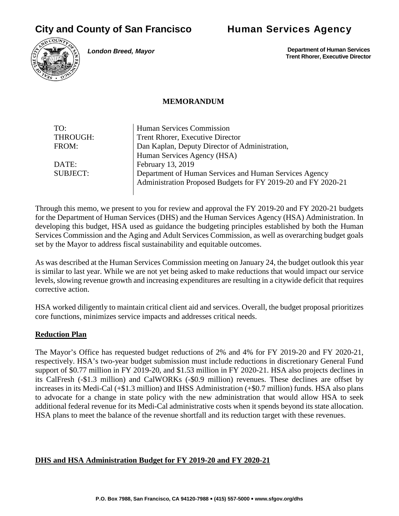# **City and County of San Francisco Human Services Agency**



*London Breed, Mayor*

 **Department of Human Services Trent Rhorer, Executive Director**

#### **MEMORANDUM**

| TO:             | Human Services Commission                                     |
|-----------------|---------------------------------------------------------------|
| THROUGH:        | Trent Rhorer, Executive Director                              |
| FROM:           | Dan Kaplan, Deputy Director of Administration,                |
|                 | Human Services Agency (HSA)                                   |
| DATE:           | February 13, 2019                                             |
| <b>SUBJECT:</b> | Department of Human Services and Human Services Agency        |
|                 | Administration Proposed Budgets for FY 2019-20 and FY 2020-21 |
|                 |                                                               |

Through this memo, we present to you for review and approval the FY 2019-20 and FY 2020-21 budgets for the Department of Human Services (DHS) and the Human Services Agency (HSA) Administration. In developing this budget, HSA used as guidance the budgeting principles established by both the Human Services Commission and the Aging and Adult Services Commission, as well as overarching budget goals set by the Mayor to address fiscal sustainability and equitable outcomes.

As was described at the Human Services Commission meeting on January 24, the budget outlook this year is similar to last year. While we are not yet being asked to make reductions that would impact our service levels, slowing revenue growth and increasing expenditures are resulting in a citywide deficit that requires corrective action.

HSA worked diligently to maintain critical client aid and services. Overall, the budget proposal prioritizes core functions, minimizes service impacts and addresses critical needs.

### **Reduction Plan**

The Mayor's Office has requested budget reductions of 2% and 4% for FY 2019-20 and FY 2020-21, respectively. HSA's two-year budget submission must include reductions in discretionary General Fund support of \$0.77 million in FY 2019-20, and \$1.53 million in FY 2020-21. HSA also projects declines in its CalFresh (-\$1.3 million) and CalWORKs (-\$0.9 million) revenues. These declines are offset by increases in its Medi-Cal (+\$1.3 million) and IHSS Administration (+\$0.7 million) funds. HSA also plans to advocate for a change in state policy with the new administration that would allow HSA to seek additional federal revenue for its Medi-Cal administrative costs when it spends beyond its state allocation. HSA plans to meet the balance of the revenue shortfall and its reduction target with these revenues.

#### **DHS and HSA Administration Budget for FY 2019-20 and FY 2020-21**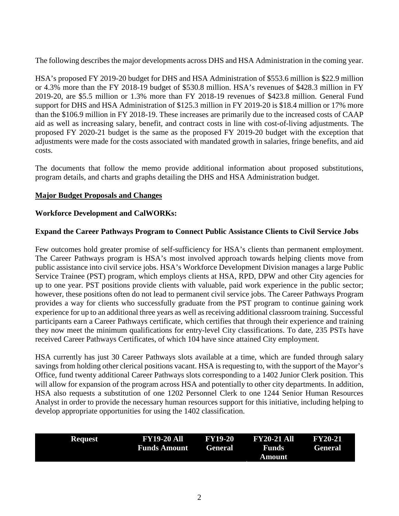The following describes the major developments across DHS and HSA Administration in the coming year.

HSA's proposed FY 2019-20 budget for DHS and HSA Administration of \$553.6 million is \$22.9 million or 4.3% more than the FY 2018-19 budget of \$530.8 million. HSA's revenues of \$428.3 million in FY 2019-20, are \$5.5 million or 1.3% more than FY 2018-19 revenues of \$423.8 million. General Fund support for DHS and HSA Administration of \$125.3 million in FY 2019-20 is \$18.4 million or 17% more than the \$106.9 million in FY 2018-19. These increases are primarily due to the increased costs of CAAP aid as well as increasing salary, benefit, and contract costs in line with cost-of-living adjustments. The proposed FY 2020-21 budget is the same as the proposed FY 2019-20 budget with the exception that adjustments were made for the costs associated with mandated growth in salaries, fringe benefits, and aid costs.

The documents that follow the memo provide additional information about proposed substitutions, program details, and charts and graphs detailing the DHS and HSA Administration budget.

#### **Major Budget Proposals and Changes**

#### **Workforce Development and CalWORKs:**

#### **Expand the Career Pathways Program to Connect Public Assistance Clients to Civil Service Jobs**

Few outcomes hold greater promise of self-sufficiency for HSA's clients than permanent employment. The Career Pathways program is HSA's most involved approach towards helping clients move from public assistance into civil service jobs. HSA's Workforce Development Division manages a large Public Service Trainee (PST) program, which employs clients at HSA, RPD, DPW and other City agencies for up to one year. PST positions provide clients with valuable, paid work experience in the public sector; however, these positions often do not lead to permanent civil service jobs. The Career Pathways Program provides a way for clients who successfully graduate from the PST program to continue gaining work experience for up to an additional three years as well as receiving additional classroom training. Successful participants earn a Career Pathways certificate, which certifies that through their experience and training they now meet the minimum qualifications for entry-level City classifications. To date, 235 PSTs have received Career Pathways Certificates, of which 104 have since attained City employment.

HSA currently has just 30 Career Pathways slots available at a time, which are funded through salary savings from holding other clerical positions vacant. HSA is requesting to, with the support of the Mayor's Office, fund twenty additional Career Pathways slots corresponding to a 1402 Junior Clerk position. This will allow for expansion of the program across HSA and potentially to other city departments. In addition, HSA also requests a substitution of one 1202 Personnel Clerk to one 1244 Senior Human Resources Analyst in order to provide the necessary human resources support for this initiative, including helping to develop appropriate opportunities for using the 1402 classification.

| Request | <b>FY19-20 All</b><br><b>Funds Amount General</b> | <b>FY19-20</b> | <b>FY20-21 All</b><br><b>Funds</b> | <b>FY20-21</b><br><b>General</b> |
|---------|---------------------------------------------------|----------------|------------------------------------|----------------------------------|
|         |                                                   |                | Amount                             |                                  |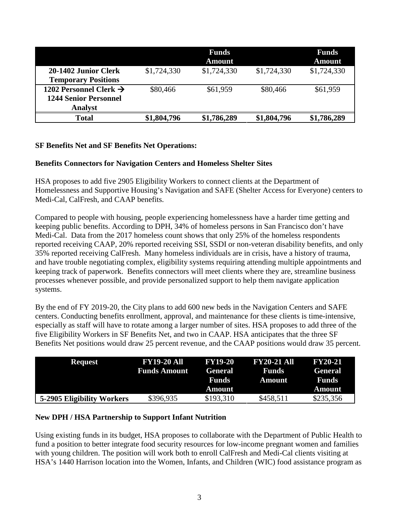|                                    |             | <b>Funds</b><br><b>Amount</b> |             | <b>Funds</b><br><b>Amount</b> |
|------------------------------------|-------------|-------------------------------|-------------|-------------------------------|
| 20-1402 Junior Clerk               | \$1,724,330 | \$1,724,330                   | \$1,724,330 | \$1,724,330                   |
| <b>Temporary Positions</b>         |             |                               |             |                               |
| 1202 Personnel Clerk $\rightarrow$ | \$80,466    | \$61,959                      | \$80,466    | \$61,959                      |
| <b>1244 Senior Personnel</b>       |             |                               |             |                               |
| <b>Analyst</b>                     |             |                               |             |                               |
| Total                              | \$1,804,796 | \$1,786,289                   | \$1,804,796 | \$1,786,289                   |

#### **SF Benefits Net and SF Benefits Net Operations:**

#### **Benefits Connectors for Navigation Centers and Homeless Shelter Sites**

HSA proposes to add five 2905 Eligibility Workers to connect clients at the Department of Homelessness and Supportive Housing's Navigation and SAFE (Shelter Access for Everyone) centers to Medi-Cal, CalFresh, and CAAP benefits.

Compared to people with housing, people experiencing homelessness have a harder time getting and keeping public benefits. According to DPH, 34% of homeless persons in San Francisco don't have Medi-Cal. Data from the 2017 homeless count shows that only 25% of the homeless respondents reported receiving CAAP, 20% reported receiving SSI, SSDI or non-veteran disability benefits, and only 35% reported receiving CalFresh. Many homeless individuals are in crisis, have a history of trauma, and have trouble negotiating complex, eligibility systems requiring attending multiple appointments and keeping track of paperwork. Benefits connectors will meet clients where they are, streamline business processes whenever possible, and provide personalized support to help them navigate application systems.

By the end of FY 2019-20, the City plans to add 600 new beds in the Navigation Centers and SAFE centers. Conducting benefits enrollment, approval, and maintenance for these clients is time-intensive, especially as staff will have to rotate among a larger number of sites. HSA proposes to add three of the five Eligibility Workers in SF Benefits Net, and two in CAAP. HSA anticipates that the three SF Benefits Net positions would draw 25 percent revenue, and the CAAP positions would draw 35 percent.

| <b>Request</b>             | <b>FY19-20 All</b><br><b>Funds Amount</b> | <b>FY19-20</b><br><b>General</b><br><b>Funds</b><br>Amount | <b>FY20-21 All</b><br><b>Funds</b><br>Amount | <b>FY20-21</b><br><b>General</b><br>Funds<br><b>Amount</b> |
|----------------------------|-------------------------------------------|------------------------------------------------------------|----------------------------------------------|------------------------------------------------------------|
| 5-2905 Eligibility Workers | \$396,935                                 | \$193,310                                                  | \$458,511                                    | \$235,356                                                  |

### **New DPH / HSA Partnership to Support Infant Nutrition**

Using existing funds in its budget, HSA proposes to collaborate with the Department of Public Health to fund a position to better integrate food security resources for low-income pregnant women and families with young children. The position will work both to enroll CalFresh and Medi-Cal clients visiting at HSA's 1440 Harrison location into the Women, Infants, and Children (WIC) food assistance program as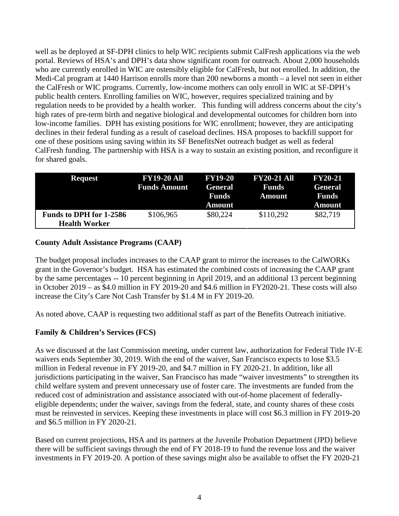well as be deployed at SF-DPH clinics to help WIC recipients submit CalFresh applications via the web portal. Reviews of HSA's and DPH's data show significant room for outreach. About 2,000 households who are currently enrolled in WIC are ostensibly eligible for CalFresh, but not enrolled. In addition, the Medi-Cal program at 1440 Harrison enrolls more than 200 newborns a month – a level not seen in either the CalFresh or WIC programs. Currently, low-income mothers can only enroll in WIC at SF-DPH's public health centers. Enrolling families on WIC, however, requires specialized training and by regulation needs to be provided by a health worker. This funding will address concerns about the city's high rates of pre-term birth and negative biological and developmental outcomes for children born into low-income families. DPH has existing positions for WIC enrollment; however, they are anticipating declines in their federal funding as a result of caseload declines. HSA proposes to backfill support for one of these positions using saving within its SF BenefitsNet outreach budget as well as federal CalFresh funding. The partnership with HSA is a way to sustain an existing position, and reconfigure it for shared goals.

| <b>Request</b>                                         | <b>FY19-20 All</b><br><b>Funds Amount</b> | <b>FY19-20</b><br><b>General</b><br><b>Funds</b><br>Amount | <b>FY20-21 All</b><br><b>Funds</b><br><b>Amount</b> | <b>FY20-21</b><br><b>General</b><br><b>Funds</b><br><b>Amount</b> |
|--------------------------------------------------------|-------------------------------------------|------------------------------------------------------------|-----------------------------------------------------|-------------------------------------------------------------------|
| <b>Funds to DPH for 1-2586</b><br><b>Health Worker</b> | \$106,965                                 | \$80,224                                                   | \$110,292                                           | \$82,719                                                          |

### **County Adult Assistance Programs (CAAP)**

The budget proposal includes increases to the CAAP grant to mirror the increases to the CalWORKs grant in the Governor's budget. HSA has estimated the combined costs of increasing the CAAP grant by the same percentages -- 10 percent beginning in April 2019, and an additional 13 percent beginning in October 2019 – as \$4.0 million in FY 2019-20 and \$4.6 million in FY2020-21. These costs will also increase the City's Care Not Cash Transfer by \$1.4 M in FY 2019-20.

As noted above, CAAP is requesting two additional staff as part of the Benefits Outreach initiative.

# **Family & Children's Services (FCS)**

As we discussed at the last Commission meeting, under current law, authorization for Federal Title IV-E waivers ends September 30, 2019. With the end of the waiver, San Francisco expects to lose \$3.5 million in Federal revenue in FY 2019-20, and \$4.7 million in FY 2020-21. In addition, like all jurisdictions participating in the waiver, San Francisco has made "waiver investments" to strengthen its child welfare system and prevent unnecessary use of foster care. The investments are funded from the reduced cost of administration and assistance associated with out-of-home placement of federallyeligible dependents; under the waiver, savings from the federal, state, and county shares of these costs must be reinvested in services. Keeping these investments in place will cost \$6.3 million in FY 2019-20 and \$6.5 million in FY 2020-21.

Based on current projections, HSA and its partners at the Juvenile Probation Department (JPD) believe there will be sufficient savings through the end of FY 2018-19 to fund the revenue loss and the waiver investments in FY 2019-20. A portion of these savings might also be available to offset the FY 2020-21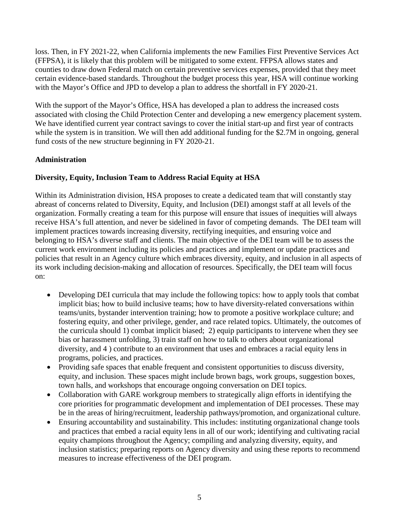loss. Then, in FY 2021-22, when California implements the new Families First Preventive Services Act (FFPSA), it is likely that this problem will be mitigated to some extent. FFPSA allows states and counties to draw down Federal match on certain preventive services expenses, provided that they meet certain evidence-based standards. Throughout the budget process this year, HSA will continue working with the Mayor's Office and JPD to develop a plan to address the shortfall in FY 2020-21.

With the support of the Mayor's Office, HSA has developed a plan to address the increased costs associated with closing the Child Protection Center and developing a new emergency placement system. We have identified current year contract savings to cover the initial start-up and first year of contracts while the system is in transition. We will then add additional funding for the \$2.7M in ongoing, general fund costs of the new structure beginning in FY 2020-21.

## **Administration**

# **Diversity, Equity, Inclusion Team to Address Racial Equity at HSA**

Within its Administration division, HSA proposes to create a dedicated team that will constantly stay abreast of concerns related to Diversity, Equity, and Inclusion (DEI) amongst staff at all levels of the organization. Formally creating a team for this purpose will ensure that issues of inequities will always receive HSA's full attention, and never be sidelined in favor of competing demands. The DEI team will implement practices towards increasing diversity, rectifying inequities, and ensuring voice and belonging to HSA's diverse staff and clients. The main objective of the DEI team will be to assess the current work environment including its policies and practices and implement or update practices and policies that result in an Agency culture which embraces diversity, equity, and inclusion in all aspects of its work including decision-making and allocation of resources. Specifically, the DEI team will focus on:

- Developing DEI curricula that may include the following topics: how to apply tools that combat implicit bias; how to build inclusive teams; how to have diversity-related conversations within teams/units, bystander intervention training; how to promote a positive workplace culture; and fostering equity, and other privilege, gender, and race related topics. Ultimately, the outcomes of the curricula should 1) combat implicit biased; 2) equip participants to intervene when they see bias or harassment unfolding, 3) train staff on how to talk to others about organizational diversity, and 4 ) contribute to an environment that uses and embraces a racial equity lens in programs, policies, and practices.
- Providing safe spaces that enable frequent and consistent opportunities to discuss diversity, equity, and inclusion. These spaces might include brown bags, work groups, suggestion boxes, town halls, and workshops that encourage ongoing conversation on DEI topics.
- Collaboration with GARE workgroup members to strategically align efforts in identifying the core priorities for programmatic development and implementation of DEI processes. These may be in the areas of hiring/recruitment, leadership pathways/promotion, and organizational culture.
- Ensuring accountability and sustainability. This includes: instituting organizational change tools and practices that embed a racial equity lens in all of our work; identifying and cultivating racial equity champions throughout the Agency; compiling and analyzing diversity, equity, and inclusion statistics; preparing reports on Agency diversity and using these reports to recommend measures to increase effectiveness of the DEI program.